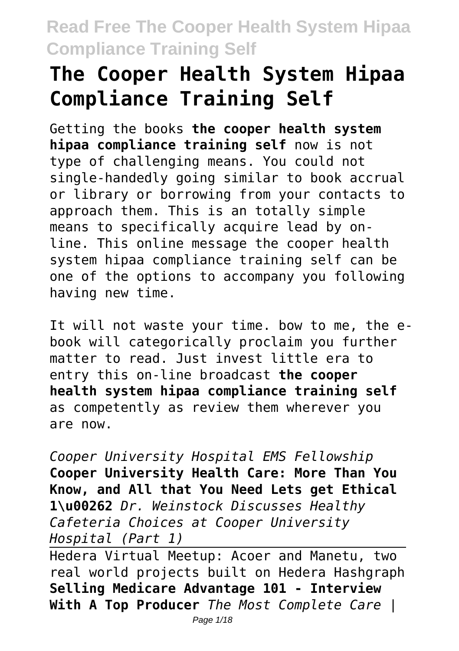# **The Cooper Health System Hipaa Compliance Training Self**

Getting the books **the cooper health system hipaa compliance training self** now is not type of challenging means. You could not single-handedly going similar to book accrual or library or borrowing from your contacts to approach them. This is an totally simple means to specifically acquire lead by online. This online message the cooper health system hipaa compliance training self can be one of the options to accompany you following having new time.

It will not waste your time. bow to me, the ebook will categorically proclaim you further matter to read. Just invest little era to entry this on-line broadcast **the cooper health system hipaa compliance training self** as competently as review them wherever you are now.

*Cooper University Hospital EMS Fellowship* **Cooper University Health Care: More Than You Know, and All that You Need Lets get Ethical 1\u00262** *Dr. Weinstock Discusses Healthy Cafeteria Choices at Cooper University Hospital (Part 1)*

Hedera Virtual Meetup: Acoer and Manetu, two real world projects built on Hedera Hashgraph **Selling Medicare Advantage 101 - Interview With A Top Producer** *The Most Complete Care |*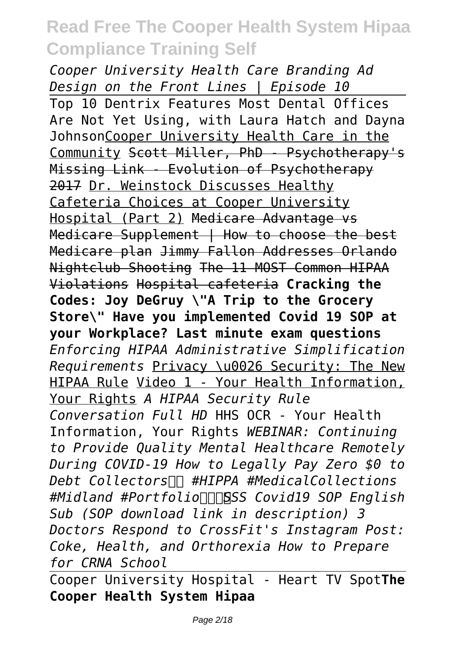*Cooper University Health Care Branding Ad Design on the Front Lines | Episode 10* Top 10 Dentrix Features Most Dental Offices Are Not Yet Using, with Laura Hatch and Dayna JohnsonCooper University Health Care in the Community Scott Miller, PhD - Psychotherapy's Missing Link - Evolution of Psychotherapy 2017 Dr. Weinstock Discusses Healthy Cafeteria Choices at Cooper University Hospital (Part 2) Medicare Advantage vs Medicare Supplement | How to choose the best Medicare plan Jimmy Fallon Addresses Orlando Nightclub Shooting The 11 MOST Common HIPAA Violations Hospital cafeteria **Cracking the Codes: Joy DeGruy \"A Trip to the Grocery Store\" Have you implemented Covid 19 SOP at your Workplace? Last minute exam questions** *Enforcing HIPAA Administrative Simplification Requirements* Privacy \u0026 Security: The New HIPAA Rule Video 1 - Your Health Information, Your Rights *A HIPAA Security Rule Conversation Full HD* HHS OCR - Your Health Information, Your Rights *WEBINAR: Continuing to Provide Quality Mental Healthcare Remotely During COVID-19 How to Legally Pay Zero \$0 to Debt Collectors* $□$  #HIPPA #MedicalCollections *#Midland #PortfolioSSS Covid19 SOP English Sub (SOP download link in description) 3 Doctors Respond to CrossFit's Instagram Post: Coke, Health, and Orthorexia How to Prepare for CRNA School*

Cooper University Hospital - Heart TV Spot**The Cooper Health System Hipaa**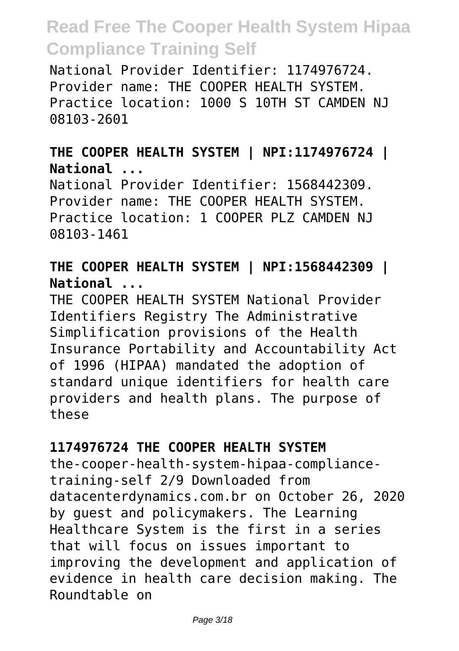National Provider Identifier: 1174976724. Provider name: THE COOPER HEALTH SYSTEM. Practice location: 1000 S 10TH ST CAMDEN NJ 08103-2601

#### **THE COOPER HEALTH SYSTEM | NPI:1174976724 | National ...**

National Provider Identifier: 1568442309. Provider name: THE COOPER HEALTH SYSTEM. Practice location: 1 COOPER PLZ CAMDEN NJ 08103-1461

#### **THE COOPER HEALTH SYSTEM | NPI:1568442309 | National ...**

THE COOPER HEALTH SYSTEM National Provider Identifiers Registry The Administrative Simplification provisions of the Health Insurance Portability and Accountability Act of 1996 (HIPAA) mandated the adoption of standard unique identifiers for health care providers and health plans. The purpose of these

#### **1174976724 THE COOPER HEALTH SYSTEM**

the-cooper-health-system-hipaa-compliancetraining-self 2/9 Downloaded from datacenterdynamics.com.br on October 26, 2020 by guest and policymakers. The Learning Healthcare System is the first in a series that will focus on issues important to improving the development and application of evidence in health care decision making. The Roundtable on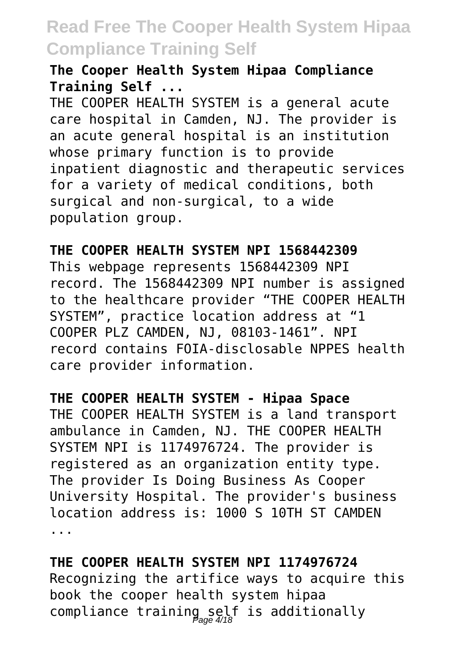#### **The Cooper Health System Hipaa Compliance Training Self ...**

THE COOPER HEALTH SYSTEM is a general acute care hospital in Camden, NJ. The provider is an acute general hospital is an institution whose primary function is to provide inpatient diagnostic and therapeutic services for a variety of medical conditions, both surgical and non-surgical, to a wide population group.

#### **THE COOPER HEALTH SYSTEM NPI 1568442309**

This webpage represents 1568442309 NPI record. The 1568442309 NPI number is assigned to the healthcare provider "THE COOPER HEALTH SYSTEM", practice location address at "1 COOPER PLZ CAMDEN, NJ, 08103-1461". NPI record contains FOIA-disclosable NPPES health care provider information.

#### **THE COOPER HEALTH SYSTEM - Hipaa Space**

THE COOPER HEALTH SYSTEM is a land transport ambulance in Camden, NJ. THE COOPER HEALTH SYSTEM NPI is 1174976724. The provider is registered as an organization entity type. The provider Is Doing Business As Cooper University Hospital. The provider's business location address is: 1000 S 10TH ST CAMDEN ...

#### **THE COOPER HEALTH SYSTEM NPI 1174976724** Recognizing the artifice ways to acquire this book the cooper health system hipaa compliance training self is additionally Page 4/18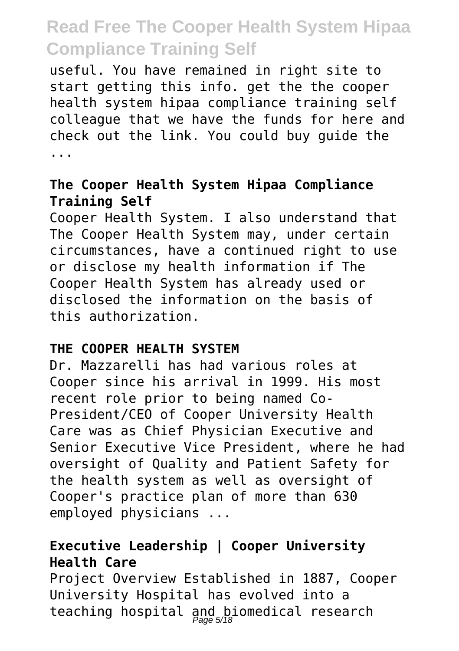useful. You have remained in right site to start getting this info. get the the cooper health system hipaa compliance training self colleague that we have the funds for here and check out the link. You could buy guide the ...

#### **The Cooper Health System Hipaa Compliance Training Self**

Cooper Health System. I also understand that The Cooper Health System may, under certain circumstances, have a continued right to use or disclose my health information if The Cooper Health System has already used or disclosed the information on the basis of this authorization.

#### **THE COOPER HEALTH SYSTEM**

Dr. Mazzarelli has had various roles at Cooper since his arrival in 1999. His most recent role prior to being named Co-President/CEO of Cooper University Health Care was as Chief Physician Executive and Senior Executive Vice President, where he had oversight of Quality and Patient Safety for the health system as well as oversight of Cooper's practice plan of more than 630 employed physicians ...

#### **Executive Leadership | Cooper University Health Care**

Project Overview Established in 1887, Cooper University Hospital has evolved into a teaching hospital and biomedical research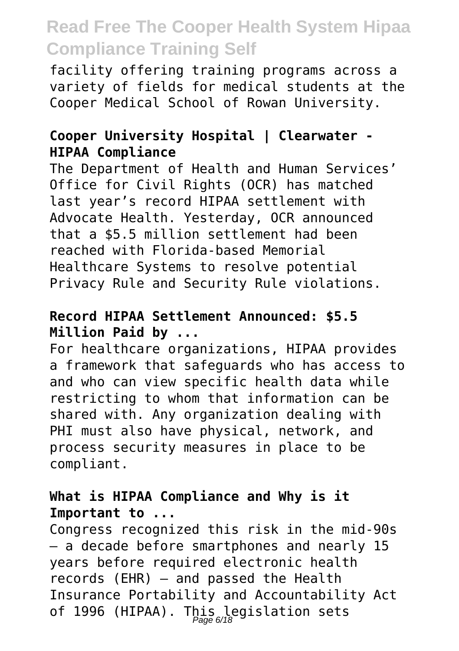facility offering training programs across a variety of fields for medical students at the Cooper Medical School of Rowan University.

#### **Cooper University Hospital | Clearwater - HIPAA Compliance**

The Department of Health and Human Services' Office for Civil Rights (OCR) has matched last year's record HIPAA settlement with Advocate Health. Yesterday, OCR announced that a \$5.5 million settlement had been reached with Florida-based Memorial Healthcare Systems to resolve potential Privacy Rule and Security Rule violations.

#### **Record HIPAA Settlement Announced: \$5.5 Million Paid by ...**

For healthcare organizations, HIPAA provides a framework that safeguards who has access to and who can view specific health data while restricting to whom that information can be shared with. Any organization dealing with PHI must also have physical, network, and process security measures in place to be compliant.

#### **What is HIPAA Compliance and Why is it Important to ...**

Congress recognized this risk in the mid-90s — a decade before smartphones and nearly 15 years before required electronic health records (EHR) — and passed the Health Insurance Portability and Accountability Act of 1996 (HIPAA). This legislation sets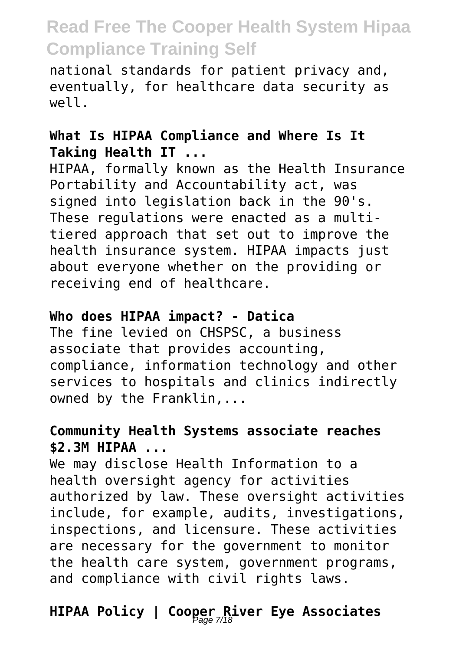national standards for patient privacy and, eventually, for healthcare data security as well.

#### **What Is HIPAA Compliance and Where Is It Taking Health IT ...**

HIPAA, formally known as the Health Insurance Portability and Accountability act, was signed into legislation back in the 90's. These regulations were enacted as a multitiered approach that set out to improve the health insurance system. HIPAA impacts just about everyone whether on the providing or receiving end of healthcare.

#### **Who does HIPAA impact? - Datica**

The fine levied on CHSPSC, a business associate that provides accounting, compliance, information technology and other services to hospitals and clinics indirectly owned by the Franklin,...

#### **Community Health Systems associate reaches \$2.3M HIPAA ...**

We may disclose Health Information to a health oversight agency for activities authorized by law. These oversight activities include, for example, audits, investigations, inspections, and licensure. These activities are necessary for the government to monitor the health care system, government programs, and compliance with civil rights laws.

## **HIPAA Policy | Cooper River Eye Associates** Page 7/18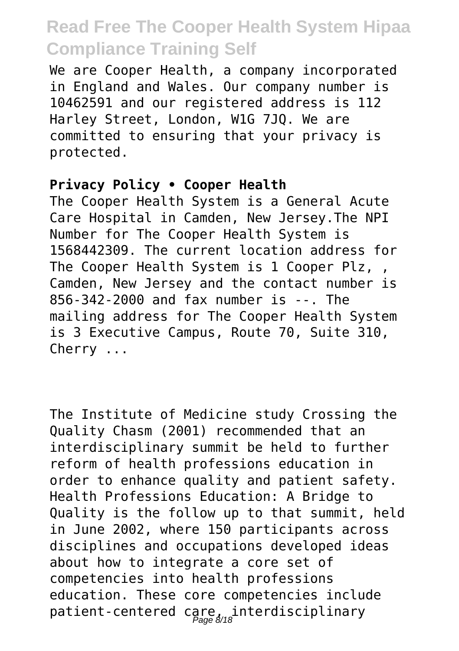We are Cooper Health, a company incorporated in England and Wales. Our company number is 10462591 and our registered address is 112 Harley Street, London, W1G 7JQ. We are committed to ensuring that your privacy is protected.

#### **Privacy Policy • Cooper Health**

The Cooper Health System is a General Acute Care Hospital in Camden, New Jersey.The NPI Number for The Cooper Health System is 1568442309. The current location address for The Cooper Health System is 1 Cooper Plz, , Camden, New Jersey and the contact number is 856-342-2000 and fax number is --. The mailing address for The Cooper Health System is 3 Executive Campus, Route 70, Suite 310, Cherry ...

The Institute of Medicine study Crossing the Quality Chasm (2001) recommended that an interdisciplinary summit be held to further reform of health professions education in order to enhance quality and patient safety. Health Professions Education: A Bridge to Quality is the follow up to that summit, held in June 2002, where 150 participants across disciplines and occupations developed ideas about how to integrate a core set of competencies into health professions education. These core competencies include patient-centered care, interdisciplinary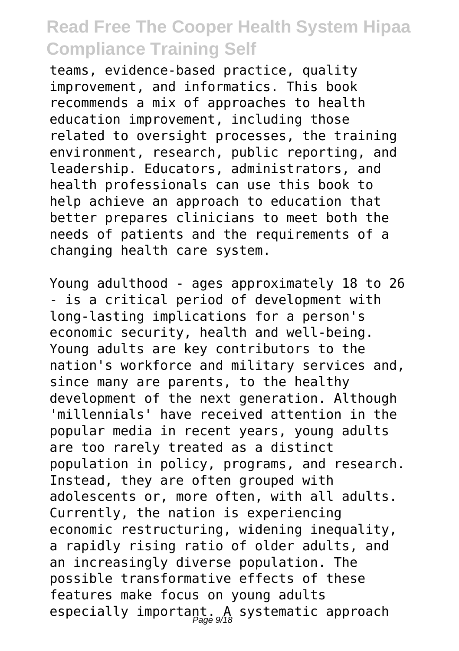teams, evidence-based practice, quality improvement, and informatics. This book recommends a mix of approaches to health education improvement, including those related to oversight processes, the training environment, research, public reporting, and leadership. Educators, administrators, and health professionals can use this book to help achieve an approach to education that better prepares clinicians to meet both the needs of patients and the requirements of a changing health care system.

Young adulthood - ages approximately 18 to 26 - is a critical period of development with long-lasting implications for a person's economic security, health and well-being. Young adults are key contributors to the nation's workforce and military services and, since many are parents, to the healthy development of the next generation. Although 'millennials' have received attention in the popular media in recent years, young adults are too rarely treated as a distinct population in policy, programs, and research. Instead, they are often grouped with adolescents or, more often, with all adults. Currently, the nation is experiencing economic restructuring, widening inequality, a rapidly rising ratio of older adults, and an increasingly diverse population. The possible transformative effects of these features make focus on young adults especially important. A systematic approach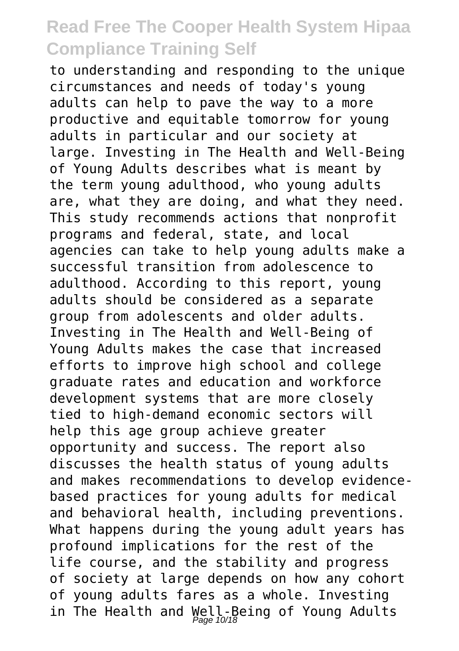to understanding and responding to the unique circumstances and needs of today's young adults can help to pave the way to a more productive and equitable tomorrow for young adults in particular and our society at large. Investing in The Health and Well-Being of Young Adults describes what is meant by the term young adulthood, who young adults are, what they are doing, and what they need. This study recommends actions that nonprofit programs and federal, state, and local agencies can take to help young adults make a successful transition from adolescence to adulthood. According to this report, young adults should be considered as a separate group from adolescents and older adults. Investing in The Health and Well-Being of Young Adults makes the case that increased efforts to improve high school and college graduate rates and education and workforce development systems that are more closely tied to high-demand economic sectors will help this age group achieve greater opportunity and success. The report also discusses the health status of young adults and makes recommendations to develop evidencebased practices for young adults for medical and behavioral health, including preventions. What happens during the young adult years has profound implications for the rest of the life course, and the stability and progress of society at large depends on how any cohort of young adults fares as a whole. Investing in The Health and Well-Being of Young Adults Page 10/18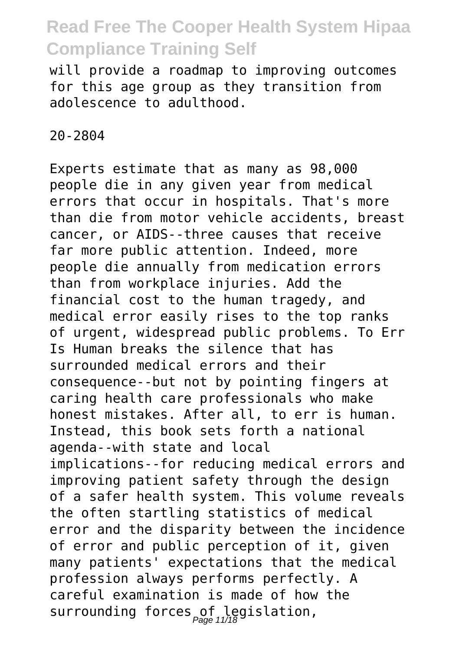will provide a roadmap to improving outcomes for this age group as they transition from adolescence to adulthood.

20-2804

Experts estimate that as many as 98,000 people die in any given year from medical errors that occur in hospitals. That's more than die from motor vehicle accidents, breast cancer, or AIDS--three causes that receive far more public attention. Indeed, more people die annually from medication errors than from workplace injuries. Add the financial cost to the human tragedy, and medical error easily rises to the top ranks of urgent, widespread public problems. To Err Is Human breaks the silence that has surrounded medical errors and their consequence--but not by pointing fingers at caring health care professionals who make honest mistakes. After all, to err is human. Instead, this book sets forth a national agenda--with state and local implications--for reducing medical errors and improving patient safety through the design of a safer health system. This volume reveals the often startling statistics of medical error and the disparity between the incidence of error and public perception of it, given many patients' expectations that the medical profession always performs perfectly. A careful examination is made of how the surrounding forces of legislation,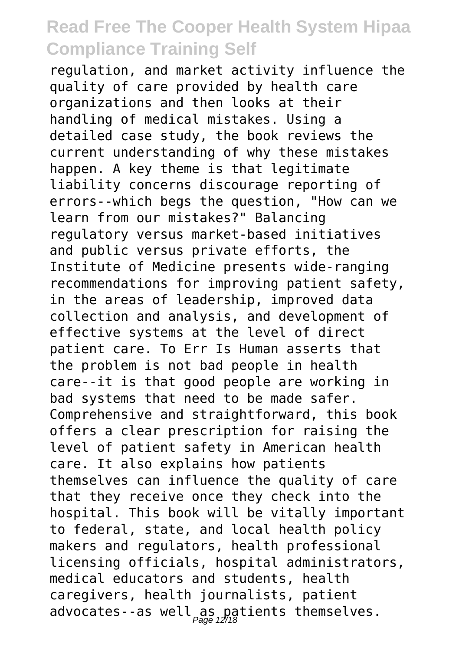regulation, and market activity influence the quality of care provided by health care organizations and then looks at their handling of medical mistakes. Using a detailed case study, the book reviews the current understanding of why these mistakes happen. A key theme is that legitimate liability concerns discourage reporting of errors--which begs the question, "How can we learn from our mistakes?" Balancing regulatory versus market-based initiatives and public versus private efforts, the Institute of Medicine presents wide-ranging recommendations for improving patient safety, in the areas of leadership, improved data collection and analysis, and development of effective systems at the level of direct patient care. To Err Is Human asserts that the problem is not bad people in health care--it is that good people are working in bad systems that need to be made safer. Comprehensive and straightforward, this book offers a clear prescription for raising the level of patient safety in American health care. It also explains how patients themselves can influence the quality of care that they receive once they check into the hospital. This book will be vitally important to federal, state, and local health policy makers and regulators, health professional licensing officials, hospital administrators, medical educators and students, health caregivers, health journalists, patient advocates--as well as patients themselves.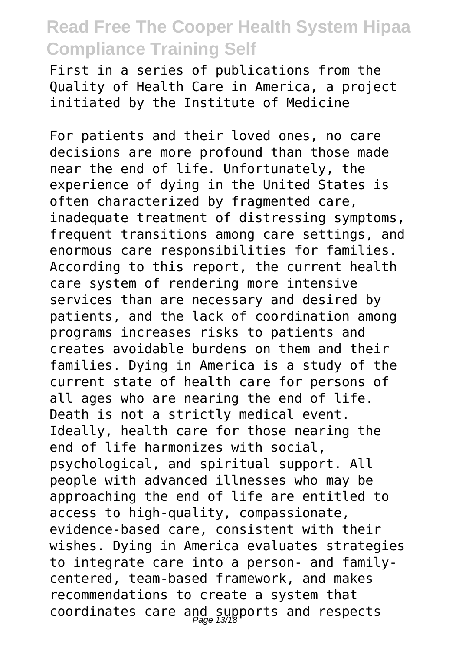First in a series of publications from the Quality of Health Care in America, a project initiated by the Institute of Medicine

For patients and their loved ones, no care decisions are more profound than those made near the end of life. Unfortunately, the experience of dying in the United States is often characterized by fragmented care, inadequate treatment of distressing symptoms, frequent transitions among care settings, and enormous care responsibilities for families. According to this report, the current health care system of rendering more intensive services than are necessary and desired by patients, and the lack of coordination among programs increases risks to patients and creates avoidable burdens on them and their families. Dying in America is a study of the current state of health care for persons of all ages who are nearing the end of life. Death is not a strictly medical event. Ideally, health care for those nearing the end of life harmonizes with social, psychological, and spiritual support. All people with advanced illnesses who may be approaching the end of life are entitled to access to high-quality, compassionate, evidence-based care, consistent with their wishes. Dying in America evaluates strategies to integrate care into a person- and familycentered, team-based framework, and makes recommendations to create a system that coordinates care and supports and respects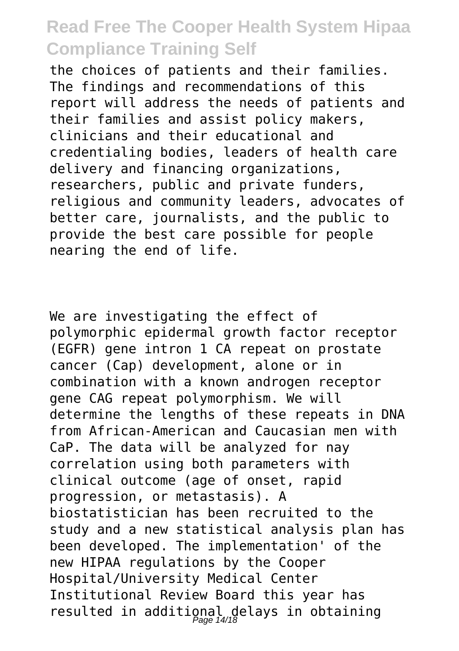the choices of patients and their families. The findings and recommendations of this report will address the needs of patients and their families and assist policy makers, clinicians and their educational and credentialing bodies, leaders of health care delivery and financing organizations, researchers, public and private funders, religious and community leaders, advocates of better care, journalists, and the public to provide the best care possible for people nearing the end of life.

We are investigating the effect of polymorphic epidermal growth factor receptor (EGFR) gene intron 1 CA repeat on prostate cancer (Cap) development, alone or in combination with a known androgen receptor gene CAG repeat polymorphism. We will determine the lengths of these repeats in DNA from African-American and Caucasian men with CaP. The data will be analyzed for nay correlation using both parameters with clinical outcome (age of onset, rapid progression, or metastasis). A biostatistician has been recruited to the study and a new statistical analysis plan has been developed. The implementation' of the new HIPAA regulations by the Cooper Hospital/University Medical Center Institutional Review Board this year has resulted in additional delays in obtaining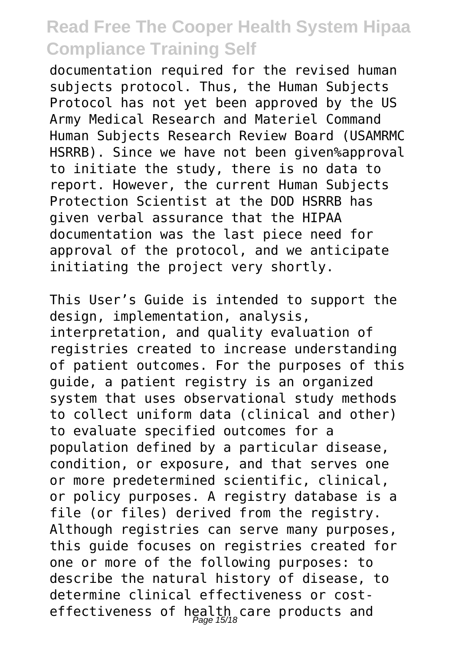documentation required for the revised human subjects protocol. Thus, the Human Subjects Protocol has not yet been approved by the US Army Medical Research and Materiel Command Human Subjects Research Review Board (USAMRMC HSRRB). Since we have not been given%approval to initiate the study, there is no data to report. However, the current Human Subjects Protection Scientist at the DOD HSRRB has given verbal assurance that the HIPAA documentation was the last piece need for approval of the protocol, and we anticipate initiating the project very shortly.

This User's Guide is intended to support the design, implementation, analysis, interpretation, and quality evaluation of registries created to increase understanding of patient outcomes. For the purposes of this guide, a patient registry is an organized system that uses observational study methods to collect uniform data (clinical and other) to evaluate specified outcomes for a population defined by a particular disease, condition, or exposure, and that serves one or more predetermined scientific, clinical, or policy purposes. A registry database is a file (or files) derived from the registry. Although registries can serve many purposes, this guide focuses on registries created for one or more of the following purposes: to describe the natural history of disease, to determine clinical effectiveness or costeffectiveness of health care products and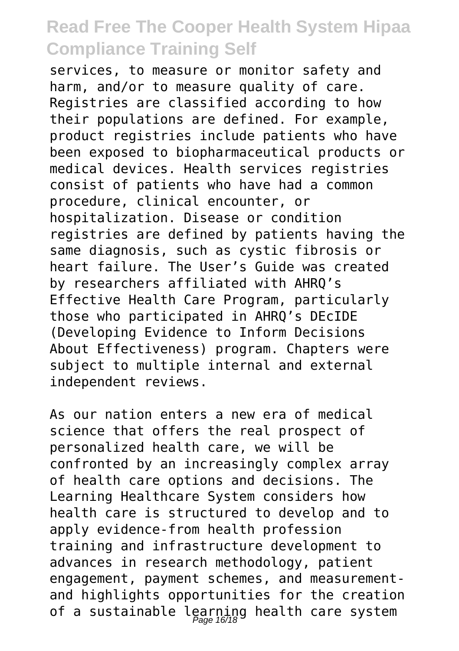services, to measure or monitor safety and harm, and/or to measure quality of care. Registries are classified according to how their populations are defined. For example, product registries include patients who have been exposed to biopharmaceutical products or medical devices. Health services registries consist of patients who have had a common procedure, clinical encounter, or hospitalization. Disease or condition registries are defined by patients having the same diagnosis, such as cystic fibrosis or heart failure. The User's Guide was created by researchers affiliated with AHRQ's Effective Health Care Program, particularly those who participated in AHRQ's DEcIDE (Developing Evidence to Inform Decisions About Effectiveness) program. Chapters were subject to multiple internal and external independent reviews.

As our nation enters a new era of medical science that offers the real prospect of personalized health care, we will be confronted by an increasingly complex array of health care options and decisions. The Learning Healthcare System considers how health care is structured to develop and to apply evidence-from health profession training and infrastructure development to advances in research methodology, patient engagement, payment schemes, and measurementand highlights opportunities for the creation of a sustainable learning health care system<br>Page 16/18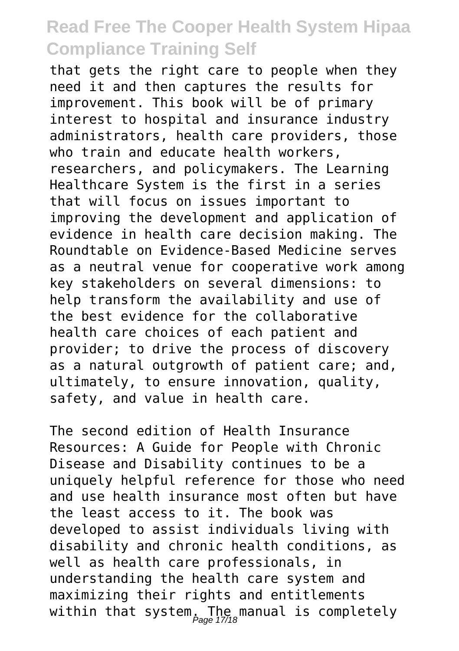that gets the right care to people when they need it and then captures the results for improvement. This book will be of primary interest to hospital and insurance industry administrators, health care providers, those who train and educate health workers. researchers, and policymakers. The Learning Healthcare System is the first in a series that will focus on issues important to improving the development and application of evidence in health care decision making. The Roundtable on Evidence-Based Medicine serves as a neutral venue for cooperative work among key stakeholders on several dimensions: to help transform the availability and use of the best evidence for the collaborative health care choices of each patient and provider; to drive the process of discovery as a natural outgrowth of patient care; and, ultimately, to ensure innovation, quality, safety, and value in health care.

The second edition of Health Insurance Resources: A Guide for People with Chronic Disease and Disability continues to be a uniquely helpful reference for those who need and use health insurance most often but have the least access to it. The book was developed to assist individuals living with disability and chronic health conditions, as well as health care professionals, in understanding the health care system and maximizing their rights and entitlements within that system, The manual is completely